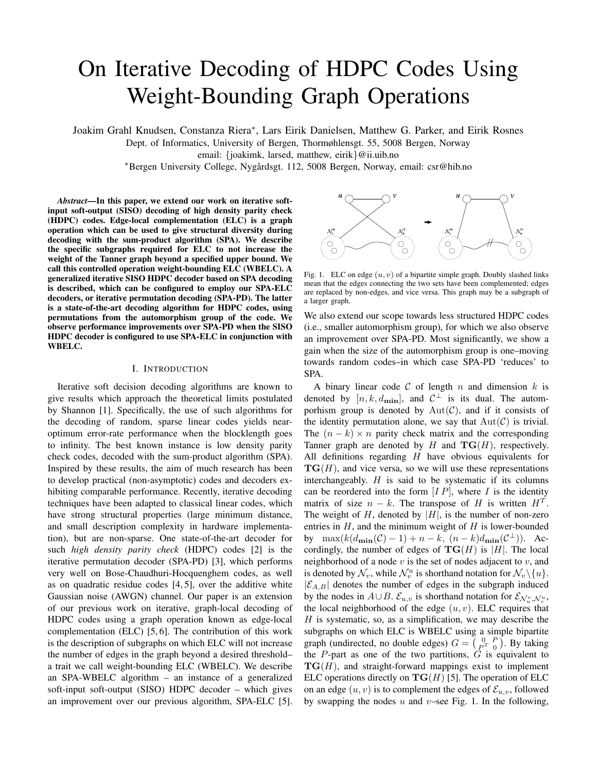# On Iterative Decoding of HDPC Codes Using Weight-Bounding Graph Operations

Joakim Grahl Knudsen, Constanza Riera<sup>∗</sup> , Lars Eirik Danielsen, Matthew G. Parker, and Eirik Rosnes

Dept. of Informatics, University of Bergen, Thormøhlensgt. 55, 5008 Bergen, Norway

email: {joakimk, larsed, matthew, eirik}@ii.uib.no

<sup>∗</sup>Bergen University College, Nygardsgt. 112, 5008 Bergen, Norway, email: csr@hib.no ˚

*Abstract***—In this paper, we extend our work on iterative softinput soft-output (SISO) decoding of high density parity check (HDPC) codes. Edge-local complementation (ELC) is a graph operation which can be used to give structural diversity during decoding with the sum-product algorithm (SPA). We describe the specific subgraphs required for ELC to not increase the weight of the Tanner graph beyond a specified upper bound. We call this controlled operation weight-bounding ELC (WBELC). A generalized iterative SISO HDPC decoder based on SPA decoding is described, which can be configured to employ our SPA-ELC decoders, or iterative permutation decoding (SPA-PD). The latter is a state-of-the-art decoding algorithm for HDPC codes, using permutations from the automorphism group of the code. We observe performance improvements over SPA-PD when the SISO HDPC decoder is configured to use SPA-ELC in conjunction with WBELC.**

#### I. INTRODUCTION

Iterative soft decision decoding algorithms are known to give results which approach the theoretical limits postulated by Shannon [1]. Specifically, the use of such algorithms for the decoding of random, sparse linear codes yields nearoptimum error-rate performance when the blocklength goes to infinity. The best known instance is low density parity check codes, decoded with the sum-product algorithm (SPA). Inspired by these results, the aim of much research has been to develop practical (non-asymptotic) codes and decoders exhibiting comparable performance. Recently, iterative decoding techniques have been adapted to classical linear codes, which have strong structural properties (large minimum distance, and small description complexity in hardware implementation), but are non-sparse. One state-of-the-art decoder for such *high density parity check* (HDPC) codes [2] is the iterative permutation decoder (SPA-PD) [3], which performs very well on Bose-Chaudhuri-Hocquenghem codes, as well as on quadratic residue codes [4, 5], over the additive white Gaussian noise (AWGN) channel. Our paper is an extension of our previous work on iterative, graph-local decoding of HDPC codes using a graph operation known as edge-local complementation (ELC) [5, 6]. The contribution of this work is the description of subgraphs on which ELC will not increase the number of edges in the graph beyond a desired threshold– a trait we call weight-bounding ELC (WBELC). We describe an SPA-WBELC algorithm – an instance of a generalized soft-input soft-output (SISO) HDPC decoder – which gives an improvement over our previous algorithm, SPA-ELC [5].



Fig. 1. ELC on edge  $(u, v)$  of a bipartite simple graph. Doubly slashed links mean that the edges connecting the two sets have been complemented; edges are replaced by non-edges, and vice versa. This graph may be a subgraph of a larger graph.

We also extend our scope towards less structured HDPC codes (i.e., smaller automorphism group), for which we also observe an improvement over SPA-PD. Most significantly, we show a gain when the size of the automorphism group is one–moving towards random codes–in which case SPA-PD 'reduces' to SPA.

A binary linear code  $C$  of length n and dimension k is denoted by  $[n, k, d_{\text{min}}]$ , and  $C^{\perp}$  is its dual. The automporhism group is denoted by  $Aut(\mathcal{C})$ , and if it consists of the identity permutation alone, we say that  $Aut(\mathcal{C})$  is trivial. The  $(n - k) \times n$  parity check matrix and the corresponding Tanner graph are denoted by  $H$  and  $\mathbf{TG}(H)$ , respectively. All definitions regarding  $H$  have obvious equivalents for  $TG(H)$ , and vice versa, so we will use these representations interchangeably.  $H$  is said to be systematic if its columns can be reordered into the form  $[I P]$ , where I is the identity matrix of size  $n - k$ . The transpose of H is written  $H<sup>T</sup>$ . The weight of H, denoted by  $|H|$ , is the number of non-zero entries in  $H$ , and the minimum weight of  $H$  is lower-bounded by  $\max(k(d_{\min}(\mathcal{C})-1)+n-k, (n-k)d_{\min}(\mathcal{C}^{\perp}))$ . Accordingly, the number of edges of  $TG(H)$  is |H|. The local neighborhood of a node  $v$  is the set of nodes adjacent to  $v$ , and is denoted by  $\mathcal{N}_v$ , while  $\mathcal{N}_v^u$  is shorthand notation for  $\mathcal{N}_v\backslash\{u\}.$  $|\mathcal{E}_{A,B}|$  denotes the number of edges in the subgraph induced by the nodes in  $A \cup B$ .  $\mathcal{E}_{u,v}$  is shorthand notation for  $\mathcal{E}_{\mathcal{N}_u^v, \mathcal{N}_u^u}$ , the local neighborhood of the edge  $(u, v)$ . ELC requires that  $H$  is systematic, so, as a simplification, we may describe the subgraphs on which ELC is WBELC using a simple bipartite graph (undirected, no double edges)  $G = \begin{pmatrix} 0 & P \\ P^T & 0 \end{pmatrix}$ . By taking the  $P$ -part as one of the two partitions,  $G$  is equivalent to  $TG(H)$ , and straight-forward mappings exist to implement ELC operations directly on  $TG(H)$  [5]. The operation of ELC on an edge  $(u, v)$  is to complement the edges of  $\mathcal{E}_{u,v}$ , followed by swapping the nodes  $u$  and  $v$ –see Fig. 1. In the following,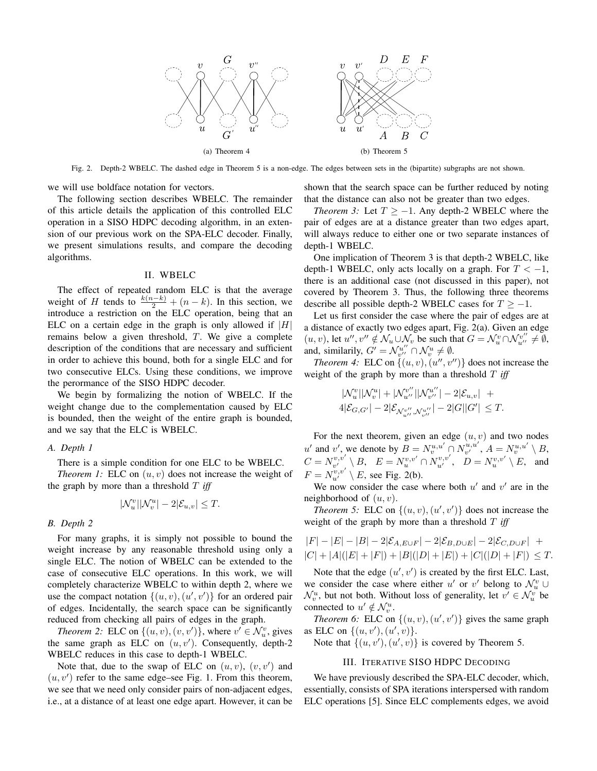

Fig. 2. Depth-2 WBELC. The dashed edge in Theorem 5 is a non-edge. The edges between sets in the (bipartite) subgraphs are not shown.

we will use boldface notation for vectors.

The following section describes WBELC. The remainder of this article details the application of this controlled ELC operation in a SISO HDPC decoding algorithm, in an extension of our previous work on the SPA-ELC decoder. Finally, we present simulations results, and compare the decoding algorithms.

#### II. WBELC

The effect of repeated random ELC is that the average weight of H tends to  $\frac{k(n-k)}{2} + (n-k)$ . In this section, we introduce a restriction on the ELC operation, being that an ELC on a certain edge in the graph is only allowed if  $|H|$ remains below a given threshold, T. We give a complete description of the conditions that are necessary and sufficient in order to achieve this bound, both for a single ELC and for two consecutive ELCs. Using these conditions, we improve the perormance of the SISO HDPC decoder.

We begin by formalizing the notion of WBELC. If the weight change due to the complementation caused by ELC is bounded, then the weight of the entire graph is bounded, and we say that the ELC is WBELC.

### *A. Depth 1*

There is a simple condition for one ELC to be WBELC.

*Theorem 1:* ELC on  $(u, v)$  does not increase the weight of the graph by more than a threshold T *iff*

$$
|\mathcal{N}_u^v||\mathcal{N}_v^u| - 2|\mathcal{E}_{u,v}| \le T.
$$

#### *B. Depth 2*

For many graphs, it is simply not possible to bound the weight increase by any reasonable threshold using only a single ELC. The notion of WBELC can be extended to the case of consecutive ELC operations. In this work, we will completely characterize WBELC to within depth 2, where we use the compact notation  $\{(u, v), (u', v')\}$  for an ordered pair of edges. Incidentally, the search space can be significantly reduced from checking all pairs of edges in the graph.

*Theorem 2:* ELC on  $\{(u, v), (v, v')\}$ , where  $v' \in \mathcal{N}_u^v$ , gives the same graph as ELC on  $(u, v')$ . Consequently, depth-2 WBELC reduces in this case to depth-1 WBELC.

Note that, due to the swap of ELC on  $(u, v)$ ,  $(v, v')$  and  $(u, v')$  refer to the same edge–see Fig. 1. From this theorem, we see that we need only consider pairs of non-adjacent edges, i.e., at a distance of at least one edge apart. However, it can be

shown that the search space can be further reduced by noting that the distance can also not be greater than two edges.

*Theorem 3:* Let  $T \ge -1$ . Any depth-2 WBELC where the pair of edges are at a distance greater than two edges apart, will always reduce to either one or two separate instances of depth-1 WBELC.

One implication of Theorem 3 is that depth-2 WBELC, like depth-1 WBELC, only acts locally on a graph. For  $T < -1$ , there is an additional case (not discussed in this paper), not covered by Theorem 3. Thus, the following three theorems describe all possible depth-2 WBELC cases for  $T \ge -1$ .

Let us first consider the case where the pair of edges are at a distance of exactly two edges apart, Fig. 2(a). Given an edge  $(u, v)$ , let  $u'', v'' \notin \mathcal{N}_u \cup \mathcal{N}_v$  be such that  $G = \mathcal{N}_u^v \cap \mathcal{N}_{u''}^{v''} \neq \emptyset$ , and, similarily,  $G' = \mathcal{N}_{v''}^{u''} \cap \mathcal{N}_{v}^{u} \neq \emptyset$ .

*Theorem 4:* ELC on  $\{(u, v), (u'', v'')\}$  does not increase the weight of the graph by more than a threshold T *iff* 

$$
\begin{aligned} &| \mathcal{N}_u^v | | \mathcal{N}_v^u | + | \mathcal{N}_{u''}^{v''} | | \mathcal{N}_{v''}^{u''} | - 2| \mathcal{E}_{u,v} | \ + \\ &4| \mathcal{E}_{G,G'} | - 2| \mathcal{E}_{\mathcal{N}_{u''}^{v''}, \mathcal{N}_{v''}^{u''}} | - 2| G | |G'| \leq T. \end{aligned}
$$

For the next theorem, given an edge  $(u, v)$  and two nodes u' and v', we denote by  $B = N_v^{u,u'} \cap N_{v'}^{u,u'}$ ,  $A = N_v^{u,u'} \setminus B$ ,  $C=N_{v'}^{v,v'}\setminus B, \ \ \ E=N_{u}^{v,v'}\cap N_{u'}^{v,v'}, \ \ \ D=N_{u}^{v,v'}\setminus E, \ \ \ {\rm and}$  $F = N_{u'}^{v,v'} \setminus E$ , see Fig. 2(b).

We now consider the case where both  $u'$  and  $v'$  are in the neighborhood of  $(u, v)$ .

*Theorem 5:* ELC on  $\{(u, v), (u', v')\}$  does not increase the weight of the graph by more than a threshold T *iff* 

$$
|F| - |E| - |B| - 2|\mathcal{E}_{A, E \cup F}| - 2|\mathcal{E}_{B, D \cup E}| - 2|\mathcal{E}_{C, D \cup F}| + |C| + |A|(|E| + |F|) + |B|(|D| + |E|) + |C|(|D| + |F|) \leq T.
$$

Note that the edge  $(u', v')$  is created by the first ELC. Last, we consider the case where either u' or v' belong to  $\mathcal{N}_u^v \cup$  $\mathcal{N}_v^u$ , but not both. Without loss of generality, let  $v' \in \mathcal{N}_u^v$  be connected to  $u' \notin \mathcal{N}_v^u$ .

*Theorem 6:* ELC on  $\{(u, v), (u', v')\}$  gives the same graph as ELC on  $\{(u, v'), (u', v)\}.$ 

Note that  $\{(u, v'), (u', v)\}$  is covered by Theorem 5.

### III. ITERATIVE SISO HDPC DECODING

We have previously described the SPA-ELC decoder, which, essentially, consists of SPA iterations interspersed with random ELC operations [5]. Since ELC complements edges, we avoid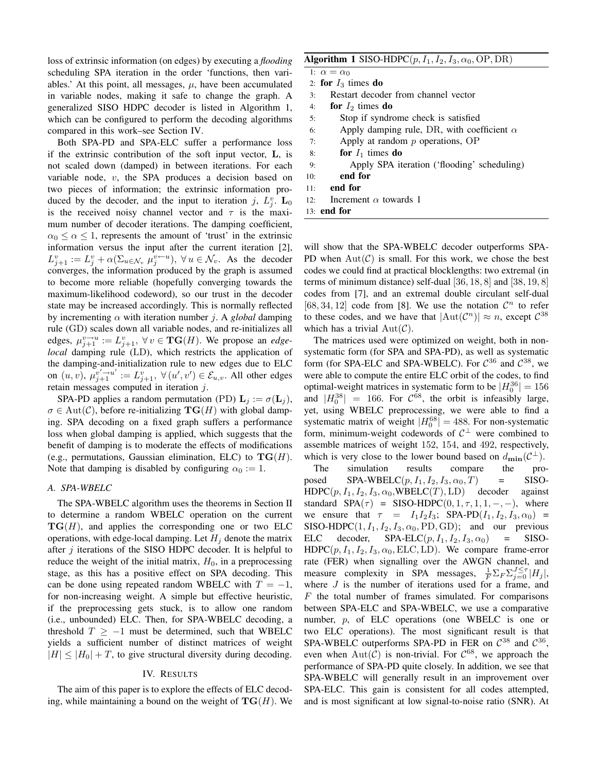loss of extrinsic information (on edges) by executing a *flooding* scheduling SPA iteration in the order 'functions, then variables.' At this point, all messages,  $\mu$ , have been accumulated in variable nodes, making it safe to change the graph. A generalized SISO HDPC decoder is listed in Algorithm 1, which can be configured to perform the decoding algorithms compared in this work–see Section IV.

Both SPA-PD and SPA-ELC suffer a performance loss if the extrinsic contribution of the soft input vector, L, is not scaled down (damped) in between iterations. For each variable node, v, the SPA produces a decision based on two pieces of information; the extrinsic information produced by the decoder, and the input to iteration j,  $L_j^v$ .  $\mathbf{L}_0$ is the received noisy channel vector and  $\tau$  is the maximum number of decoder iterations. The damping coefficient,  $\alpha_0 \leq \alpha \leq 1$ , represents the amount of 'trust' in the extrinsic information versus the input after the current iteration [2],  $L_{j+1}^v := L_j^v + \alpha(\Sigma_{u \in \mathcal{N}_v} \mu_j^{v-u}), \ \forall u \in \mathcal{N}_v.$  As the decoder converges, the information produced by the graph is assumed to become more reliable (hopefully converging towards the maximum-likelihood codeword), so our trust in the decoder state may be increased accordingly. This is normally reflected by incrementing  $\alpha$  with iteration number *j*. A *global* damping rule (GD) scales down all variable nodes, and re-initializes all edges,  $\mu_{j+1}^{\nu \to u} := L_{j+1}^{\nu}, \ \forall \nu \in \mathbf{TG}(H)$ . We propose an *edgelocal* damping rule (LD), which restricts the application of the damping-and-initialization rule to new edges due to ELC on  $(u, v)$ ,  $\mu_{j+1}^{v' \to u'} := L_{j+1}^v$ ,  $\forall (u', v') \in \mathcal{E}_{u,v}$ . All other edges retain messages computed in iteration j.

SPA-PD applies a random permutation (PD)  $\mathbf{L}_i := \sigma(\mathbf{L}_i)$ ,  $\sigma \in \text{Aut}(\mathcal{C})$ , before re-initializing  $\textbf{TG}(H)$  with global damping. SPA decoding on a fixed graph suffers a performance loss when global damping is applied, which suggests that the benefit of damping is to moderate the effects of modifications (e.g., permutations, Gaussian elimination, ELC) to  $TG(H)$ . Note that damping is disabled by configuring  $\alpha_0 := 1$ .

#### *A. SPA-WBELC*

The SPA-WBELC algorithm uses the theorems in Section II to determine a random WBELC operation on the current  $TG(H)$ , and applies the corresponding one or two ELC operations, with edge-local damping. Let  $H_i$  denote the matrix after  $j$  iterations of the SISO HDPC decoder. It is helpful to reduce the weight of the initial matrix,  $H_0$ , in a preprocessing stage, as this has a positive effect on SPA decoding. This can be done using repeated random WBELC with  $T = -1$ , for non-increasing weight. A simple but effective heuristic, if the preprocessing gets stuck, is to allow one random (i.e., unbounded) ELC. Then, for SPA-WBELC decoding, a threshold  $T \ge -1$  must be determined, such that WBELC yields a sufficient number of distinct matrices of weight  $|H| \leq |H_0| + T$ , to give structural diversity during decoding.

#### IV. RESULTS

The aim of this paper is to explore the effects of ELC decoding, while maintaining a bound on the weight of  $TG(H)$ . We

## **Algorithm 1** SISO-HDPC $(p, I_1, I_2, I_3, \alpha_0, \text{OP}, \text{DR})$

|     | 1: $\alpha = \alpha_0$                            |
|-----|---------------------------------------------------|
|     | 2: for $I_3$ times do                             |
| 3:  | Restart decoder from channel vector               |
| 4:  | for $I_2$ times do                                |
| 5:  | Stop if syndrome check is satisfied               |
| 6:  | Apply damping rule, DR, with coefficient $\alpha$ |
| 7:  | Apply at random $p$ operations, OP                |
| 8:  | for $I_1$ times do                                |
| 9:  | Apply SPA iteration ('flooding' scheduling)       |
| 10: | end for                                           |
| 11: | end for                                           |
| 12: | Increment $\alpha$ towards 1                      |
|     | $13:$ end for                                     |

will show that the SPA-WBELC decoder outperforms SPA-PD when  $Aut(\mathcal{C})$  is small. For this work, we chose the best codes we could find at practical blocklengths: two extremal (in terms of minimum distance) self-dual [36, 18, 8] and [38, 19, 8] codes from [7], and an extremal double circulant self-dual [68, 34, 12] code from [8]. We use the notation  $\mathcal{C}^n$  to refer to these codes, and we have that  $|\text{Aut}(\mathcal{C}^n)| \approx n$ , except  $\mathcal{C}^{38}$ which has a trivial  $Aut(\mathcal{C})$ .

The matrices used were optimized on weight, both in nonsystematic form (for SPA and SPA-PD), as well as systematic form (for SPA-ELC and SPA-WBELC). For  $C^{36}$  and  $C^{38}$ , we were able to compute the entire ELC orbit of the codes, to find optimal-weight matrices in systematic form to be  $|H_0^{36}| = 156$ and  $|H_0^{38}| = 166$ . For  $C^{68}$ , the orbit is infeasibly large, yet, using WBELC preprocessing, we were able to find a systematic matrix of weight  $|H_0^{68}| = 488$ . For non-systematic form, minimum-weight codewords of  $C^{\perp}$  were combined to assemble matrices of weight 152, 154, and 492, respectively, which is very close to the lower bound based on  $d_{\text{min}}(\mathcal{C}^{\perp})$ .

The simulation results compare the proposed SPA-WBELC $(p, I_1, I_2, I_3, \alpha_0, T)$  = SISO- $HDPC(p, I_1, I_2, I_3, \alpha_0, WBELC(T), LD)$  decoder against standard  $SPA(\tau) = SISO-HDPC(0, 1, \tau, 1, 1, -, -),$  where we ensure that  $\tau = I_1I_2I_3$ ; SPA-PD $(I_1, I_2, I_3, \alpha_0)$  = SISO-HDPC $(1, I_1, I_2, I_3, \alpha_0, \text{PD}, \text{GD})$ ; and our previous ELC decoder, SPA-ELC $(p, I_1, I_2, I_3, \alpha_0)$  = SISO- $HDPC(p, I_1, I_2, I_3, \alpha_0, ELC, LD)$ . We compare frame-error rate (FER) when signalling over the AWGN channel, and measure complexity in SPA messages,  $\frac{1}{F} \sum_{F} \sum_{j=0}^{J} |H_j|$ , where  $J$  is the number of iterations used for a frame, and  $F$  the total number of frames simulated. For comparisons between SPA-ELC and SPA-WBELC, we use a comparative number, p, of ELC operations (one WBELC is one or two ELC operations). The most significant result is that SPA-WBELC outperforms SPA-PD in FER on  $C^{38}$  and  $C^{36}$ , even when  $Aut(\mathcal{C})$  is non-trivial. For  $\mathcal{C}^{68}$ , we approach the performance of SPA-PD quite closely. In addition, we see that SPA-WBELC will generally result in an improvement over SPA-ELC. This gain is consistent for all codes attempted, and is most significant at low signal-to-noise ratio (SNR). At